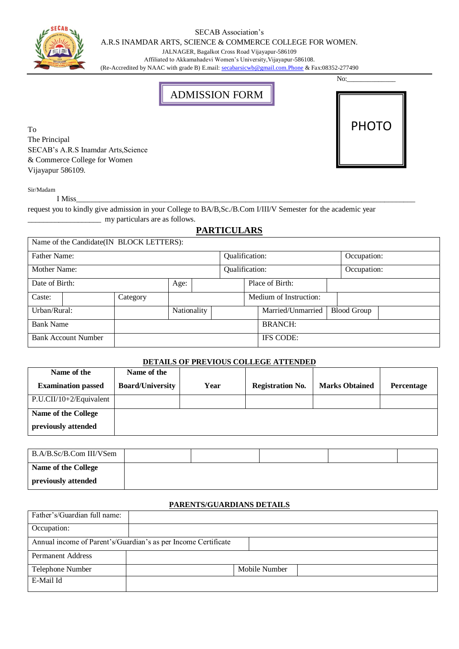#### SECAB Association's

A.R.S INAMDAR ARTS, SCIENCE & COMMERCE COLLEGE FOR WOMEN.

JALNAGER, Bagalkot Cross Road Vijayapur-586109

Affiliated to Akkamahadevi Women's University,Vijayapur-586108.

(Re-Accredited by NAAC with grade B) E.mail[: secabarsicwb@gmail.com.Phone](mailto:secabarsicwb@gmail.com.Phone) & Fax:08352-277490

# ADMISSION FORM

To The Principal SECAB's A.R.S Inamdar Arts,Science & Commerce College for Women Vijayapur 586109.

# No:\_\_\_\_\_\_\_\_\_\_\_\_\_\_ PHOTO

Sir/Madam

request you to kindly give admission in your College to BA/B,Sc./B.Com I/III/V Semester for the academic year \_\_\_\_\_\_\_\_\_\_\_\_\_\_\_\_\_\_\_ my particulars are as follows.

### **PARTICULARS**

I Miss\_\_\_\_\_\_\_\_\_\_\_\_\_\_\_\_\_\_\_\_\_\_\_\_\_\_\_\_\_\_\_\_\_\_\_\_\_\_\_\_\_\_\_\_\_\_\_\_\_\_\_\_\_\_\_\_\_\_\_\_\_\_\_\_\_\_\_\_\_\_\_\_\_\_\_\_\_\_\_\_\_\_\_\_\_\_\_\_

|                            |  | Name of the Candidate(IN BLOCK LETTERS): |             |  |                        |                 |                   |                    |             |  |  |
|----------------------------|--|------------------------------------------|-------------|--|------------------------|-----------------|-------------------|--------------------|-------------|--|--|
| <b>Father Name:</b>        |  |                                          |             |  | Qualification:         |                 |                   |                    | Occupation: |  |  |
| Mother Name:               |  |                                          |             |  | Qualification:         |                 |                   |                    | Occupation: |  |  |
| Date of Birth:             |  |                                          | Age:        |  |                        | Place of Birth: |                   |                    |             |  |  |
| Caste:                     |  | Category                                 |             |  | Medium of Instruction: |                 |                   |                    |             |  |  |
| Urban/Rural:               |  |                                          | Nationality |  |                        |                 | Married/Unmarried | <b>Blood Group</b> |             |  |  |
| <b>Bank Name</b>           |  |                                          |             |  | <b>BRANCH:</b>         |                 |                   |                    |             |  |  |
| <b>Bank Account Number</b> |  |                                          |             |  |                        |                 | <b>IFS CODE:</b>  |                    |             |  |  |

#### **DETAILS OF PREVIOUS COLLEGE ATTENDED**

| Name of the               | Name of the             |      |                         |                       |            |
|---------------------------|-------------------------|------|-------------------------|-----------------------|------------|
| <b>Examination passed</b> | <b>Board/University</b> | Year | <b>Registration No.</b> | <b>Marks Obtained</b> | Percentage |
| $P.U.CII/10+2/Equivalent$ |                         |      |                         |                       |            |
| Name of the College       |                         |      |                         |                       |            |
| previously attended       |                         |      |                         |                       |            |

| B.A/B.Sc/B.Com III/VSem |  |  |  |
|-------------------------|--|--|--|
| Name of the College     |  |  |  |
| previously attended     |  |  |  |

#### **PARENTS/GUARDIANS DETAILS**

| Father's/Guardian full name: |                                                                |               |  |
|------------------------------|----------------------------------------------------------------|---------------|--|
| Occupation:                  |                                                                |               |  |
|                              | Annual income of Parent's/Guardian's as per Income Certificate |               |  |
| <b>Permanent Address</b>     |                                                                |               |  |
| Telephone Number             |                                                                | Mobile Number |  |
| E-Mail Id                    |                                                                |               |  |